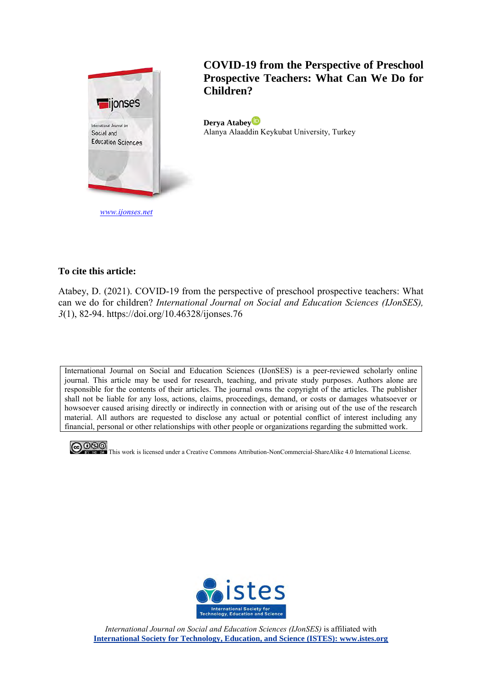

**COVID-19 from the Perspective of Preschool Prospective Teachers: What Can We Do for Children?**

**Derya Atabey** Alanya Alaaddin Keykubat University, Turkey

# **To cite this article:**

Atabey, D. (2021). COVID-19 from the perspective of preschool prospective teachers: What can we do for children? *International Journal on Social and Education Sciences (IJonSES), 3*(1), 82-94. https://doi.org/10.46328/ijonses.76

International Journal on Social and Education Sciences (IJonSES) is a peer-reviewed scholarly online journal. This article may be used for research, teaching, and private study purposes. Authors alone are responsible for the contents of their articles. The journal owns the copyright of the articles. The publisher shall not be liable for any loss, actions, claims, proceedings, demand, or costs or damages whatsoever or howsoever caused arising directly or indirectly in connection with or arising out of the use of the research material. All authors are requested to disclose any actual or potential conflict of interest including any financial, personal or other relationships with other people or organizations regarding the submitted work.



**COO**<br>This work is licensed under a Creative Commons Attribution-NonCommercial-ShareAlike 4.0 International License.



*International Journal on Social and Education Sciences (IJonSES)* is affiliated with **International Society for Technology, Education, and Science (ISTES): www.istes.org**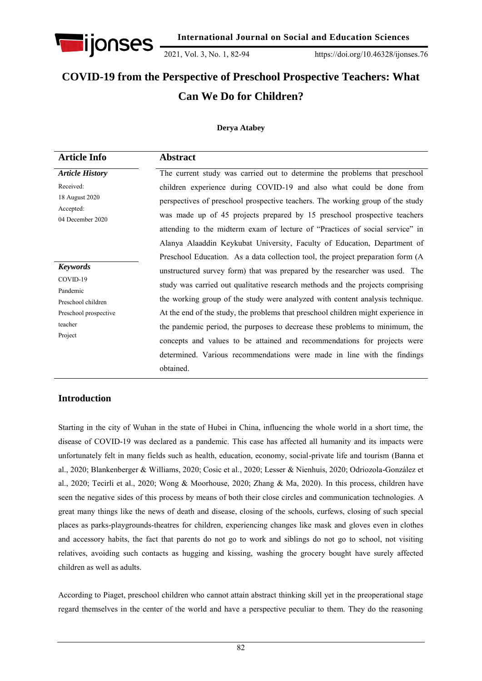

2021, Vol. 3, No. 1, 82-94 https://doi.org/10.46328/ijonses.76

# **COVID-19 from the Perspective of Preschool Prospective Teachers: What Can We Do for Children?**

## **Derya Atabey**

| <b>Article Info</b>                                                                                          | <b>Abstract</b>                                                                                                                                                                                                                                                                                                                                                                                                                                                                                                                                                                                                                                                                                                                                        |
|--------------------------------------------------------------------------------------------------------------|--------------------------------------------------------------------------------------------------------------------------------------------------------------------------------------------------------------------------------------------------------------------------------------------------------------------------------------------------------------------------------------------------------------------------------------------------------------------------------------------------------------------------------------------------------------------------------------------------------------------------------------------------------------------------------------------------------------------------------------------------------|
| <b>Article History</b>                                                                                       | The current study was carried out to determine the problems that preschool                                                                                                                                                                                                                                                                                                                                                                                                                                                                                                                                                                                                                                                                             |
| Received:<br>18 August 2020<br>Accepted:<br>04 December 2020                                                 | children experience during COVID-19 and also what could be done from<br>perspectives of preschool prospective teachers. The working group of the study<br>was made up of 45 projects prepared by 15 preschool prospective teachers<br>attending to the midterm exam of lecture of "Practices of social service" in                                                                                                                                                                                                                                                                                                                                                                                                                                     |
| <b>Keywords</b><br>COVID-19<br>Pandemic<br>Preschool children<br>Preschool prospective<br>teacher<br>Project | Alanya Alaaddin Keykubat University, Faculty of Education, Department of<br>Preschool Education. As a data collection tool, the project preparation form (A<br>unstructured survey form) that was prepared by the researcher was used. The<br>study was carried out qualitative research methods and the projects comprising<br>the working group of the study were analyzed with content analysis technique.<br>At the end of the study, the problems that preschool children might experience in<br>the pandemic period, the purposes to decrease these problems to minimum, the<br>concepts and values to be attained and recommendations for projects were<br>determined. Various recommendations were made in line with the findings<br>obtained. |

# **Introduction**

Starting in the city of Wuhan in the state of Hubei in China, influencing the whole world in a short time, the disease of COVID-19 was declared as a pandemic. This case has affected all humanity and its impacts were unfortunately felt in many fields such as health, education, economy, social-private life and tourism (Banna et al., 2020; Blankenberger & Williams, 2020; Cosic et al., 2020; Lesser & Nienhuis, 2020; Odriozola-González et al., 2020; Tecirli et al., 2020; Wong & Moorhouse, 2020; Zhang & Ma, 2020). In this process, children have seen the negative sides of this process by means of both their close circles and communication technologies. A great many things like the news of death and disease, closing of the schools, curfews, closing of such special places as parks-playgrounds-theatres for children, experiencing changes like mask and gloves even in clothes and accessory habits, the fact that parents do not go to work and siblings do not go to school, not visiting relatives, avoiding such contacts as hugging and kissing, washing the grocery bought have surely affected children as well as adults.

According to Piaget, preschool children who cannot attain abstract thinking skill yet in the preoperational stage regard themselves in the center of the world and have a perspective peculiar to them. They do the reasoning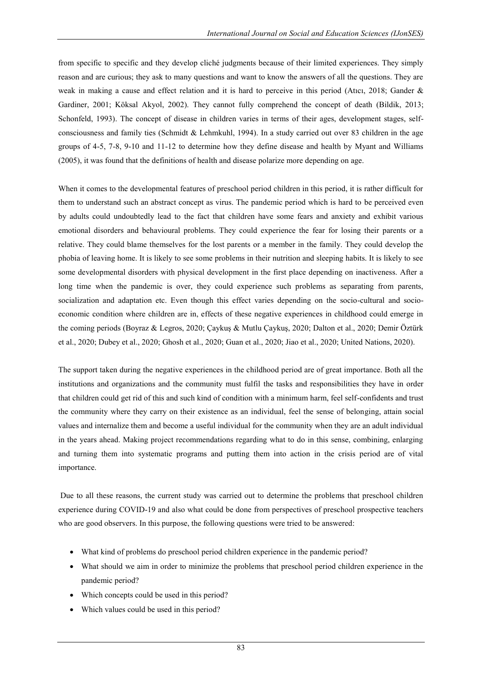from specific to specific and they develop cliché judgments because of their limited experiences. They simply reason and are curious; they ask to many questions and want to know the answers of all the questions. They are weak in making a cause and effect relation and it is hard to perceive in this period (Atıcı, 2018; Gander & Gardiner, 2001; Köksal Akyol, 2002). They cannot fully comprehend the concept of death (Bildik, 2013; Schonfeld, 1993). The concept of disease in children varies in terms of their ages, development stages, selfconsciousness and family ties (Schmidt & Lehmkuhl, 1994). In a study carried out over 83 children in the age groups of 4-5, 7-8, 9-10 and 11-12 to determine how they define disease and health by Myant and Williams (2005), it was found that the definitions of health and disease polarize more depending on age.

When it comes to the developmental features of preschool period children in this period, it is rather difficult for them to understand such an abstract concept as virus. The pandemic period which is hard to be perceived even by adults could undoubtedly lead to the fact that children have some fears and anxiety and exhibit various emotional disorders and behavioural problems. They could experience the fear for losing their parents or a relative. They could blame themselves for the lost parents or a member in the family. They could develop the phobia of leaving home. It is likely to see some problems in their nutrition and sleeping habits. It is likely to see some developmental disorders with physical development in the first place depending on inactiveness. After a long time when the pandemic is over, they could experience such problems as separating from parents, socialization and adaptation etc. Even though this effect varies depending on the socio-cultural and socioeconomic condition where children are in, effects of these negative experiences in childhood could emerge in the coming periods (Boyraz & Legros, 2020; Çaykuş & Mutlu Çaykuş, 2020; Dalton et al., 2020; Demir Öztürk et al., 2020; Dubey et al., 2020; Ghosh et al., 2020; Guan et al., 2020; Jiao et al., 2020; United Nations, 2020).

The support taken during the negative experiences in the childhood period are of great importance. Both all the institutions and organizations and the community must fulfil the tasks and responsibilities they have in order that children could get rid of this and such kind of condition with a minimum harm, feel self-confidents and trust the community where they carry on their existence as an individual, feel the sense of belonging, attain social values and internalize them and become a useful individual for the community when they are an adult individual in the years ahead. Making project recommendations regarding what to do in this sense, combining, enlarging and turning them into systematic programs and putting them into action in the crisis period are of vital importance.

 Due to all these reasons, the current study was carried out to determine the problems that preschool children experience during COVID-19 and also what could be done from perspectives of preschool prospective teachers who are good observers. In this purpose, the following questions were tried to be answered:

- What kind of problems do preschool period children experience in the pandemic period?
- What should we aim in order to minimize the problems that preschool period children experience in the pandemic period?
- Which concepts could be used in this period?
- Which values could be used in this period?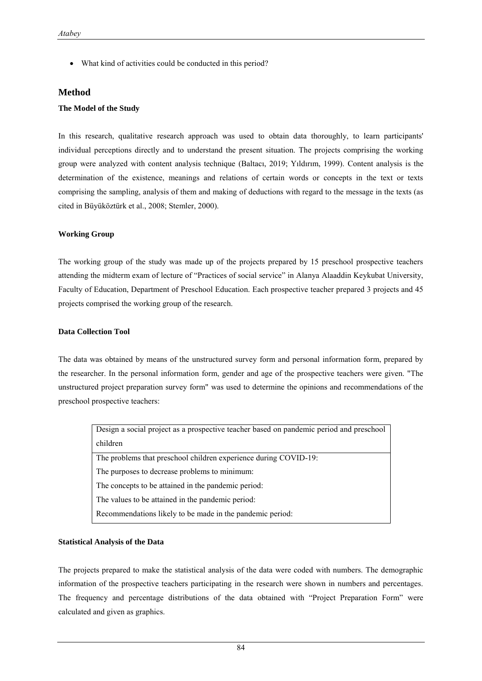What kind of activities could be conducted in this period?

### **Method**

#### **The Model of the Study**

In this research, qualitative research approach was used to obtain data thoroughly, to learn participants' individual perceptions directly and to understand the present situation. The projects comprising the working group were analyzed with content analysis technique (Baltacı, 2019; Yıldırım, 1999). Content analysis is the determination of the existence, meanings and relations of certain words or concepts in the text or texts comprising the sampling, analysis of them and making of deductions with regard to the message in the texts (as cited in Büyüköztürk et al., 2008; Stemler, 2000).

#### **Working Group**

The working group of the study was made up of the projects prepared by 15 preschool prospective teachers attending the midterm exam of lecture of "Practices of social service" in Alanya Alaaddin Keykubat University, Faculty of Education, Department of Preschool Education. Each prospective teacher prepared 3 projects and 45 projects comprised the working group of the research.

#### **Data Collection Tool**

The data was obtained by means of the unstructured survey form and personal information form, prepared by the researcher. In the personal information form, gender and age of the prospective teachers were given. "The unstructured project preparation survey form" was used to determine the opinions and recommendations of the preschool prospective teachers:

| Design a social project as a prospective teacher based on pandemic period and preschool |
|-----------------------------------------------------------------------------------------|
| children                                                                                |
| The problems that preschool children experience during COVID-19:                        |
| The purposes to decrease problems to minimum:                                           |
| The concepts to be attained in the pandemic period:                                     |
| The values to be attained in the pandemic period:                                       |
| Recommendations likely to be made in the pandemic period:                               |

#### **Statistical Analysis of the Data**

The projects prepared to make the statistical analysis of the data were coded with numbers. The demographic information of the prospective teachers participating in the research were shown in numbers and percentages. The frequency and percentage distributions of the data obtained with "Project Preparation Form" were calculated and given as graphics.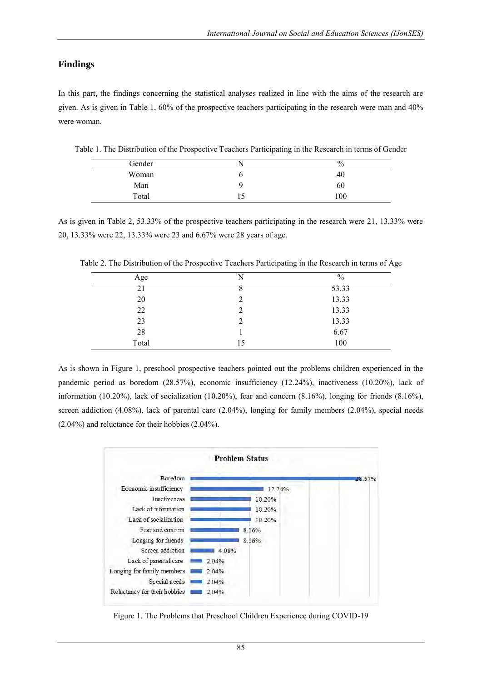# **Findings**

In this part, the findings concerning the statistical analyses realized in line with the aims of the research are given. As is given in Table 1, 60% of the prospective teachers participating in the research were man and 40% were woman.

| Gender | $\frac{0}{0}$ |
|--------|---------------|
| Woman  | 40.           |
| Man    | 60            |
| Total  | 100           |

Table 1. The Distribution of the Prospective Teachers Participating in the Research in terms of Gender

As is given in Table 2, 53.33% of the prospective teachers participating in the research were 21, 13.33% were 20, 13.33% were 22, 13.33% were 23 and 6.67% were 28 years of age.

| Age   | N  | $\%$  |
|-------|----|-------|
| 21    |    | 53.33 |
| 20    |    | 13.33 |
| 22    | 2  | 13.33 |
| 23    |    | 13.33 |
| 28    |    | 6.67  |
| Total | 15 | 100   |

Table 2. The Distribution of the Prospective Teachers Participating in the Research in terms of Age

As is shown in Figure 1, preschool prospective teachers pointed out the problems children experienced in the pandemic period as boredom (28.57%), economic insufficiency (12.24%), inactiveness (10.20%), lack of information (10.20%), lack of socialization (10.20%), fear and concern (8.16%), longing for friends (8.16%), screen addiction (4.08%), lack of parental care (2.04%), longing for family members (2.04%), special needs (2.04%) and reluctance for their hobbies (2.04%).



Figure 1. The Problems that Preschool Children Experience during COVID-19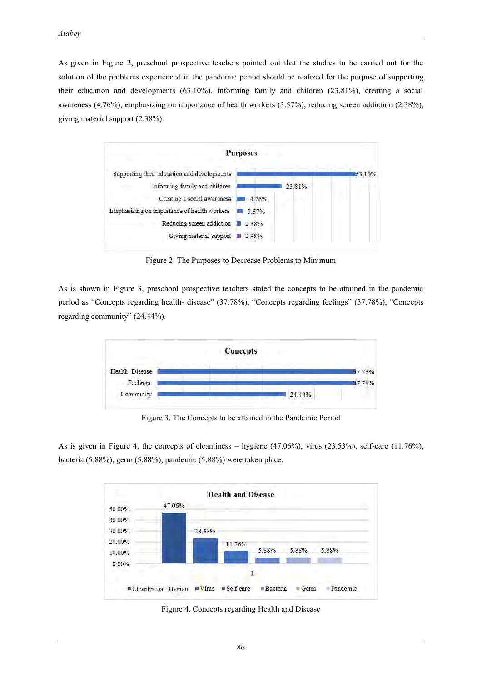As given in Figure 2, preschool prospective teachers pointed out that the studies to be carried out for the solution of the problems experienced in the pandemic period should be realized for the purpose of supporting their education and developments (63.10%), informing family and children (23.81%), creating a social awareness (4.76%), emphasizing on importance of health workers (3.57%), reducing screen addiction (2.38%), giving material support (2.38%).



Figure 2. The Purposes to Decrease Problems to Minimum

As is shown in Figure 3, preschool prospective teachers stated the concepts to be attained in the pandemic period as "Concepts regarding health- disease" (37.78%), "Concepts regarding feelings" (37.78%), "Concepts regarding community" (24.44%).



Figure 3. The Concepts to be attained in the Pandemic Period

As is given in Figure 4, the concepts of cleanliness – hygiene (47.06%), virus (23.53%), self-care (11.76%), bacteria (5.88%), germ (5.88%), pandemic (5.88%) were taken place.



Figure 4. Concepts regarding Health and Disease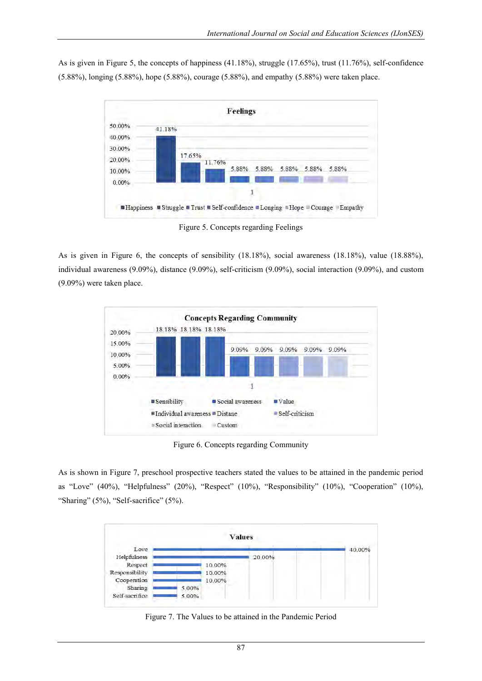As is given in Figure 5, the concepts of happiness (41.18%), struggle (17.65%), trust (11.76%), self-confidence (5.88%), longing (5.88%), hope (5.88%), courage (5.88%), and empathy (5.88%) were taken place.



Figure 5. Concepts regarding Feelings

As is given in Figure 6, the concepts of sensibility (18.18%), social awareness (18.18%), value (18.88%), individual awareness (9.09%), distance (9.09%), self-criticism (9.09%), social interaction (9.09%), and custom (9.09%) were taken place.



Figure 6. Concepts regarding Community

As is shown in Figure 7, preschool prospective teachers stated the values to be attained in the pandemic period as "Love" (40%), "Helpfulness" (20%), "Respect" (10%), "Responsibility" (10%), "Cooperation" (10%), "Sharing" (5%), "Self-sacrifice" (5%).



Figure 7. The Values to be attained in the Pandemic Period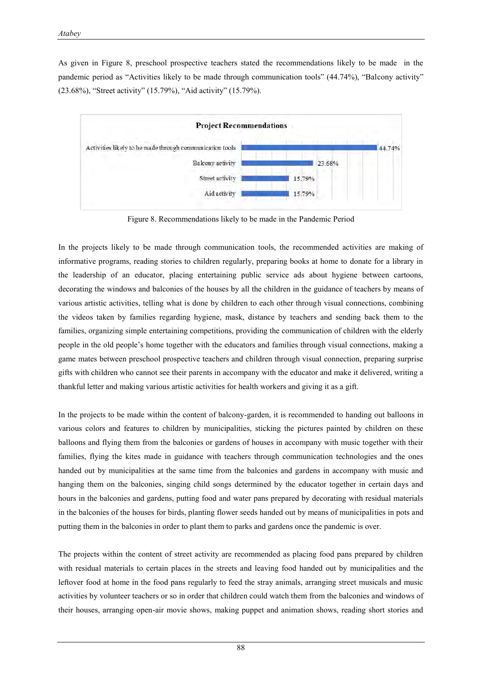As given in Figure 8, preschool prospective teachers stated the recommendations likely to be made in the pandemic period as "Activities likely to be made through communication tools" (44.74%), "Balcony activity" (23.68%), "Street activity" (15.79%), "Aid activity" (15.79%).



Figure 8. Recommendations likely to be made in the Pandemic Period

In the projects likely to be made through communication tools, the recommended activities are making of informative programs, reading stories to children regularly, preparing books at home to donate for a library in the leadership of an educator, placing entertaining public service ads about hygiene between cartoons, decorating the windows and balconies of the houses by all the children in the guidance of teachers by means of various artistic activities, telling what is done by children to each other through visual connections, combining the videos taken by families regarding hygiene, mask, distance by teachers and sending back them to the families, organizing simple entertaining competitions, providing the communication of children with the elderly people in the old people's home together with the educators and families through visual connections, making a game mates between preschool prospective teachers and children through visual connection, preparing surprise gifts with children who cannot see their parents in accompany with the educator and make it delivered, writing a thankful letter and making various artistic activities for health workers and giving it as a gift.

In the projects to be made within the content of balcony-garden, it is recommended to handing out balloons in various colors and features to children by municipalities, sticking the pictures painted by children on these balloons and flying them from the balconies or gardens of houses in accompany with music together with their families, flying the kites made in guidance with teachers through communication technologies and the ones handed out by municipalities at the same time from the balconies and gardens in accompany with music and hanging them on the balconies, singing child songs determined by the educator together in certain days and hours in the balconies and gardens, putting food and water pans prepared by decorating with residual materials in the balconies of the houses for birds, planting flower seeds handed out by means of municipalities in pots and putting them in the balconies in order to plant them to parks and gardens once the pandemic is over.

The projects within the content of street activity are recommended as placing food pans prepared by children with residual materials to certain places in the streets and leaving food handed out by municipalities and the leftover food at home in the food pans regularly to feed the stray animals, arranging street musicals and music activities by volunteer teachers or so in order that children could watch them from the balconies and windows of their houses, arranging open-air movie shows, making puppet and animation shows, reading short stories and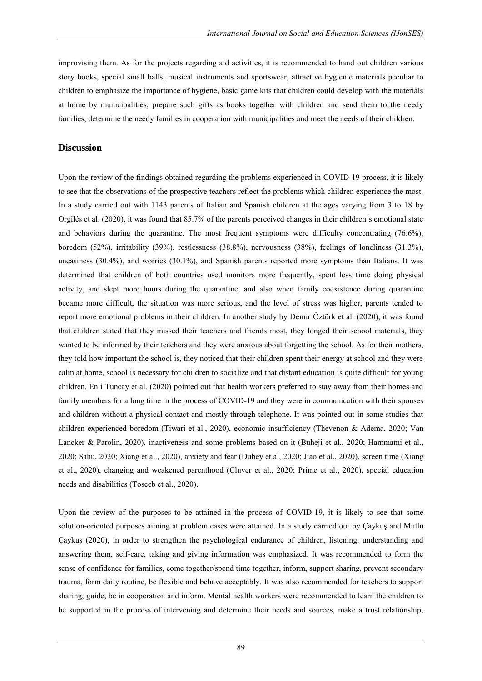improvising them. As for the projects regarding aid activities, it is recommended to hand out children various story books, special small balls, musical instruments and sportswear, attractive hygienic materials peculiar to children to emphasize the importance of hygiene, basic game kits that children could develop with the materials at home by municipalities, prepare such gifts as books together with children and send them to the needy families, determine the needy families in cooperation with municipalities and meet the needs of their children.

## **Discussion**

Upon the review of the findings obtained regarding the problems experienced in COVID-19 process, it is likely to see that the observations of the prospective teachers reflect the problems which children experience the most. In a study carried out with 1143 parents of Italian and Spanish children at the ages varying from 3 to 18 by Orgilés et al. (2020), it was found that 85.7% of the parents perceived changes in their children´s emotional state and behaviors during the quarantine. The most frequent symptoms were difficulty concentrating (76.6%), boredom (52%), irritability (39%), restlessness (38.8%), nervousness (38%), feelings of loneliness (31.3%), uneasiness (30.4%), and worries (30.1%), and Spanish parents reported more symptoms than Italians. It was determined that children of both countries used monitors more frequently, spent less time doing physical activity, and slept more hours during the quarantine, and also when family coexistence during quarantine became more difficult, the situation was more serious, and the level of stress was higher, parents tended to report more emotional problems in their children. In another study by Demir Öztürk et al. (2020), it was found that children stated that they missed their teachers and friends most, they longed their school materials, they wanted to be informed by their teachers and they were anxious about forgetting the school. As for their mothers, they told how important the school is, they noticed that their children spent their energy at school and they were calm at home, school is necessary for children to socialize and that distant education is quite difficult for young children. Enli Tuncay et al. (2020) pointed out that health workers preferred to stay away from their homes and family members for a long time in the process of COVID-19 and they were in communication with their spouses and children without a physical contact and mostly through telephone. It was pointed out in some studies that children experienced boredom (Tiwari et al., 2020), economic insufficiency (Thevenon & Adema, 2020; Van Lancker & Parolin, 2020), inactiveness and some problems based on it (Buheji et al., 2020; Hammami et al., 2020; Sahu, 2020; Xiang et al., 2020), anxiety and fear (Dubey et al, 2020; Jiao et al., 2020), screen time (Xiang et al., 2020), changing and weakened parenthood (Cluver et al., 2020; Prime et al., 2020), special education needs and disabilities (Toseeb et al., 2020).

Upon the review of the purposes to be attained in the process of COVID-19, it is likely to see that some solution-oriented purposes aiming at problem cases were attained. In a study carried out by Çaykuş and Mutlu Çaykuş (2020), in order to strengthen the psychological endurance of children, listening, understanding and answering them, self-care, taking and giving information was emphasized. It was recommended to form the sense of confidence for families, come together/spend time together, inform, support sharing, prevent secondary trauma, form daily routine, be flexible and behave acceptably. It was also recommended for teachers to support sharing, guide, be in cooperation and inform. Mental health workers were recommended to learn the children to be supported in the process of intervening and determine their needs and sources, make a trust relationship,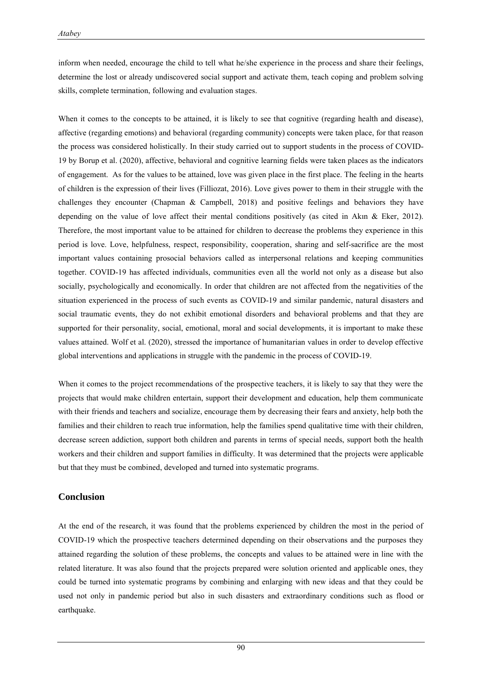inform when needed, encourage the child to tell what he/she experience in the process and share their feelings, determine the lost or already undiscovered social support and activate them, teach coping and problem solving skills, complete termination, following and evaluation stages.

When it comes to the concepts to be attained, it is likely to see that cognitive (regarding health and disease), affective (regarding emotions) and behavioral (regarding community) concepts were taken place, for that reason the process was considered holistically. In their study carried out to support students in the process of COVID-19 by Borup et al. (2020), affective, behavioral and cognitive learning fields were taken places as the indicators of engagement. As for the values to be attained, love was given place in the first place. The feeling in the hearts of children is the expression of their lives (Filliozat, 2016). Love gives power to them in their struggle with the challenges they encounter (Chapman & Campbell, 2018) and positive feelings and behaviors they have depending on the value of love affect their mental conditions positively (as cited in Akın & Eker, 2012). Therefore, the most important value to be attained for children to decrease the problems they experience in this period is love. Love, helpfulness, respect, responsibility, cooperation, sharing and self-sacrifice are the most important values containing prosocial behaviors called as interpersonal relations and keeping communities together. COVID-19 has affected individuals, communities even all the world not only as a disease but also socially, psychologically and economically. In order that children are not affected from the negativities of the situation experienced in the process of such events as COVID-19 and similar pandemic, natural disasters and social traumatic events, they do not exhibit emotional disorders and behavioral problems and that they are supported for their personality, social, emotional, moral and social developments, it is important to make these values attained. Wolf et al. (2020), stressed the importance of humanitarian values in order to develop effective global interventions and applications in struggle with the pandemic in the process of COVID-19.

When it comes to the project recommendations of the prospective teachers, it is likely to say that they were the projects that would make children entertain, support their development and education, help them communicate with their friends and teachers and socialize, encourage them by decreasing their fears and anxiety, help both the families and their children to reach true information, help the families spend qualitative time with their children, decrease screen addiction, support both children and parents in terms of special needs, support both the health workers and their children and support families in difficulty. It was determined that the projects were applicable but that they must be combined, developed and turned into systematic programs.

## **Conclusion**

At the end of the research, it was found that the problems experienced by children the most in the period of COVID-19 which the prospective teachers determined depending on their observations and the purposes they attained regarding the solution of these problems, the concepts and values to be attained were in line with the related literature. It was also found that the projects prepared were solution oriented and applicable ones, they could be turned into systematic programs by combining and enlarging with new ideas and that they could be used not only in pandemic period but also in such disasters and extraordinary conditions such as flood or earthquake.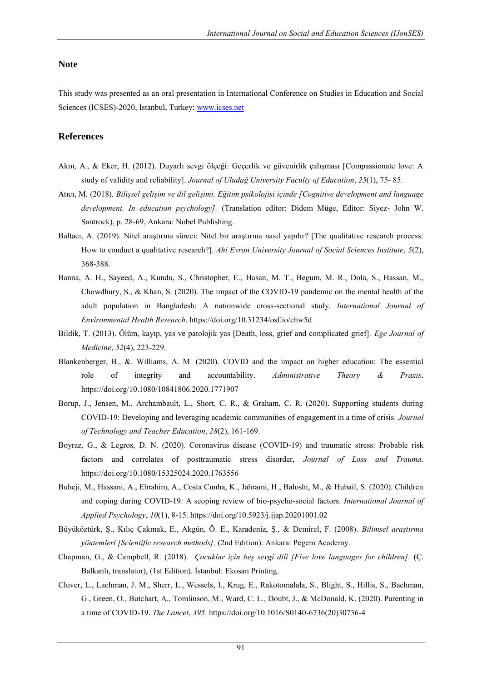## **Note**

This study was presented as an oral presentation in International Conference on Studies in Education and Social Sciences (ICSES)-2020, Istanbul, Turkey: [www.icses.net](http://www.icses.net/) 

## **References**

- Akın, A., & Eker, H. (2012). Duyarlı sevgi ölçeği: Geçerlik ve güvenirlik çalışması [Compassionate love: A study of validity and reliability]. *Journal of Uludağ University Faculty of Education*, *25*(1), 75- 85.
- Atıcı, M. (2018). *Bilişsel gelişim ve dil gelişimi. Eğitim psikolojisi içinde [Cognitive development and language development. In education psychology].* (Translation editor: Didem Müge, Editor: Siyez- John W. Santrock), p. 28-69, Ankara: Nobel Publishing.
- Baltacı, A. (2019). Nitel araştırma süreci: Nitel bir araştırma nasıl yapılır? [The qualitative research process: How to conduct a qualitative research?]. *Ahi Evran University Journal of Social Sciences Institute*, *5*(2), 368-388.
- Banna, A. H., Sayeed, A., Kundu, S., Christopher, E., Hasan, M. T., Begum, M. R., Dola, S., Hassan, M., Chowdhury, S., & Khan, S. (2020). The impact of the COVID-19 pandemic on the mental health of the adult population in Bangladesh: A nationwide cross-sectional study. *International Journal of Environmental Health Research*. https://doi.org/10.31234/osf.io/chw5d
- Bildik, T. (2013). Ölüm, kayıp, yas ve patolojik yas [Death, loss, grief and complicated grief]. *Ege Journal of Medicine*, *52*(4), 223-229.
- Blankenberger, B., &. Williams, A. M. (2020). COVID and the impact on higher education: The essential role of integrity and accountability. *Administrative Theory & Praxis*. <https://doi.org/10.1080/10841806.2020.1771907>
- Borup, J., Jensen, M., Archambault, L., Short, C. R., & Graham, C. R. (2020). Supporting students during COVID-19: Developing and leveraging academic communities of engagement in a time of crisis. *Journal of Technology and Teacher Education*, *28*(2), 161-169.
- Boyraz, G., & Legros, D. N. (2020). Coronavirus disease (COVID-19) and traumatic stress: Probable risk factors and correlates of posttraumatic stress disorder, *Journal of Loss and Trauma*. <https://doi.org/10.1080/15325024.2020.1763556>
- Buheji, M., Hassani, A., Ebrahim, A., Costa Cunha, K., Jahrami, H., Baloshi, M., & Hubail, S. (2020). Children and coping during COVID-19: A scoping review of bio-psycho-social factors. *International Journal of Applied Psychology*, *10*(1), 8-15.<https://doi.org/10.5923/j.ijap.20201001.02>
- Büyüköztürk, Ş., Kılıç Çakmak, E., Akgün, Ö. E., Karadeniz, Ş., & Demirel, F. (2008). *Bilimsel araştırma yöntemleri [Scientific research methods]*. (2nd Edition). Ankara: Pegem Academy.
- Chapman, G., & Campbell, R. (2018). *Çocuklar için beş sevgi dili [Five love languages for children].* (Ç. Balkanlı, translator), (1st Edition). İstanbul: Ekosan Printing.
- Cluver, L., Lachman, J. M., Sherr, L., Wessels, I., Krug, E., Rakotomalala, S., Blight, S., Hillis, S., Bachman, G., Green, O., Butchart, A., Tomlinson, M., Ward, C. L., Doubt, J., & McDonald, K. (2020). Parenting in a time of COVID-19. *The Lancet*, *395*. [https://doi.org/10.1016/S0140-6736\(20\)30736-4](https://doi.org/10.1016/S0140-6736(20)30736-4)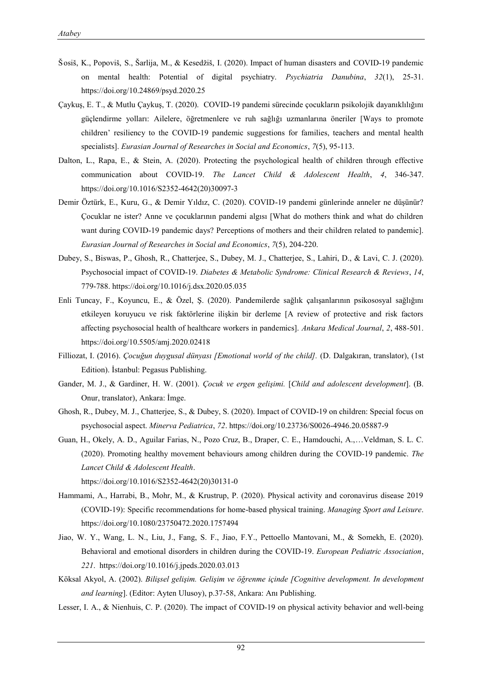- Šosiš, K., Popoviš, S., Šarlija, M., & Kesedžiš, I. (2020). Impact of human disasters and COVID-19 pandemic on mental health: Potential of digital psychiatry. *Psychiatria Danubina*, *32*(1), 25-31. <https://doi.org/10.24869/psyd.2020.25>
- Çaykuş, E. T., & Mutlu Çaykuş, T. (2020). COVID-19 pandemi sürecinde çocukların psikolojik dayanıklılığını güçlendirme yolları: Ailelere, öğretmenlere ve ruh sağlığı uzmanlarına öneriler [Ways to promote children' resiliency to the COVID-19 pandemic suggestions for families, teachers and mental health specialists]. *Eurasian Journal of Researches in Social and Economics*, *7*(5), 95-113.
- Dalton, L., Rapa, E., & Stein, A. (2020). Protecting the psychological health of children through effective communication about COVID-19. *The Lancet Child & Adolescent Health*, *4*, 346-347. [https://doi.org/10.1016/S2352-4642\(20\)30097-3](https://doi.org/10.1016/S2352-4642(20)30097-3)
- Demir Öztürk, E., Kuru, G., & Demir Yıldız, C. (2020). COVID-19 pandemi günlerinde anneler ne düşünür? Çocuklar ne ister? Anne ve çocuklarının pandemi algısı [What do mothers think and what do children want during COVID-19 pandemic days? Perceptions of mothers and their children related to pandemic]. *Eurasian Journal of Researches in Social and Economics*, *7*(5), 204-220.
- Dubey, S., Biswas, P., Ghosh, R., Chatterjee, S., Dubey, M. J., Chatterjee, S., Lahiri, D., & Lavi, C. J. (2020). Psychosocial impact of COVID-19. *Diabetes & Metabolic Syndrome: Clinical Research & Reviews*, *14*, 779-788[. https://doi.org/10.1016/j.dsx.2020.05.035](https://doi.org/10.1016/j.dsx.2020.05.035)
- Enli Tuncay, F., Koyuncu, E., & Özel, Ş. (2020). Pandemilerde sağlık çalışanlarının psikososyal sağlığını etkileyen koruyucu ve risk faktörlerine ilişkin bir derleme [A review of protective and risk factors affecting psychosocial health of healthcare workers in pandemics]. *Ankara Medical Journal*, 2, 488-501. <https://doi.org/10.5505/amj.2020.02418>
- Filliozat, I. (2016). *Çocuğun duygusal dünyası [Emotional world of the child].* (D. Dalgakıran, translator), (1st Edition). İstanbul: Pegasus Publishing.
- Gander, M. J., & Gardiner, H. W. (2001). *Çocuk ve ergen gelişimi.* [*Child and adolescent development*]. (B. Onur, translator), Ankara: İmge.
- Ghosh, R., Dubey, M. J., Chatterjee, S., & Dubey, S. (2020). Impact of COVID-19 on children: Special focus on psychosocial aspect. *Minerva Pediatrica*, *72*.<https://doi.org/10.23736/S0026-4946.20.05887-9>
- Guan, H., Okely, A. D., Aguilar Farias, N., Pozo Cruz, B., Draper, C. E., Hamdouchi, A.,…Veldman, S. L. C. (2020). Promoting healthy movement behaviours among children during the COVID-19 pandemic. *The Lancet Child & Adolescent Health*.

[https://doi.org/10.1016/S2352-4642\(20\)30131-0](https://doi.org/10.1016/S2352-4642(20)30131-0)

- Hammami, A., Harrabi, B., Mohr, M., & Krustrup, P. (2020). Physical activity and coronavirus disease 2019 (COVID-19): Specific recommendations for home-based physical training. *Managing Sport and Leisure*. <https://doi.org/10.1080/23750472.2020.1757494>
- Jiao, W. Y., Wang, L. N., Liu, J., Fang, S. F., Jiao, F.Y., Pettoello Mantovani, M., & Somekh, E. (2020). Behavioral and emotional disorders in children during the COVID-19. *European Pediatric Association*, *221*. <https://doi.org/10.1016/j.jpeds.2020.03.013>
- Köksal Akyol, A. (2002). *Bilişsel gelişim. Gelişim ve öğrenme içinde [Cognitive development. In development and learning*]. (Editor: Ayten Ulusoy), p.37-58, Ankara: Anı Publishing.
- Lesser, I. A., & Nienhuis, C. P. (2020). The impact of COVID-19 on physical activity behavior and well-being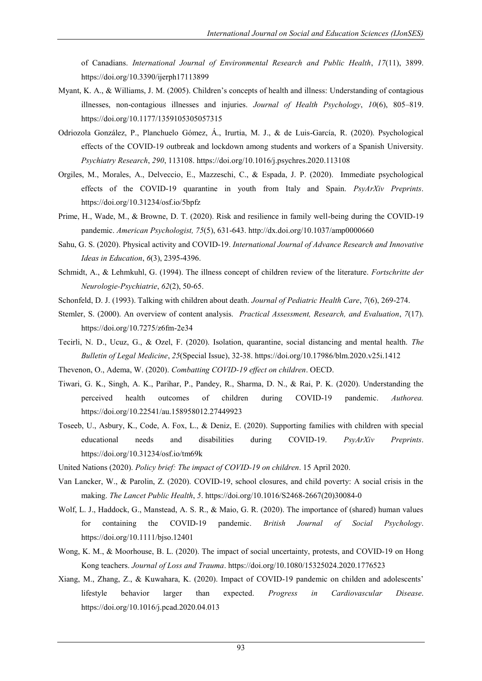of Canadians. *International Journal of Environmental Research and Public Health*, *17*(11), 3899. <https://doi.org/10.3390/ijerph17113899>

- Myant, K. A., & Williams, J. M. (2005). Children's concepts of health and illness: Understanding of contagious illnesses, non-contagious illnesses and injuries. *Journal of Health Psychology*, *10*(6), 805–819. <https://doi.org/10.1177/1359105305057315>
- Odriozola González, P., Planchuelo Gómez, Á., Irurtia, M. J., & de Luis-García, R. (2020). Psychological effects of the COVID-19 outbreak and lockdown among students and workers of a Spanish University. *Psychiatry Research*, *290*, 113108.<https://doi.org/10.1016/j.psychres.2020.113108>
- Orgiles, M., Morales, A., Delveccio, E., Mazzeschi, C., & Espada, J. P. (2020). Immediate psychological effects of the COVID-19 quarantine in youth from Italy and Spain. *PsyArXiv Preprints*. <https://doi.org/10.31234/osf.io/5bpfz>
- Prime, H., Wade, M., & Browne, D. T. (2020). Risk and resilience in family well-being during the COVID-19 pandemic. *American Psychologist, 75*(5), 631-643[. http://dx.doi.org/10.1037/amp0000660](http://dx.doi.org/10.1037/amp0000660)
- Sahu, G. S. (2020). Physical activity and COVID-19. *International Journal of Advance Research and Innovative Ideas in Education*, *6*(3), 2395-4396.
- Schmidt, A., & Lehmkuhl, G. (1994). The illness concept of children review of the literature. *Fortschritte der Neurologie-Psychiatrie*, *62*(2), 50-65.
- Schonfeld, D. J. (1993). Talking with children about death. *Journal of Pediatric Health Care*, *7*(6), 269-274.
- Stemler, S. (2000). An overview of content analysis. *Practical Assessment, Research, and Evaluation*, *7*(17). <https://doi.org/10.7275/z6fm-2e34>
- Tecirli, N. D., Ucuz, G., & Ozel, F. (2020). Isolation, quarantine, social distancing and mental health. *The Bulletin of Legal Medicine*, *25*(Special Issue), 32-38. <https://doi.org/10.17986/blm.2020.v25i.1412>
- Thevenon, O., Adema, W. (2020). *Combatting COVID-19 effect on children*. OECD.
- Tiwari, G. K., Singh, A. K., Parihar, P., Pandey, R., Sharma, D. N., & Rai, P. K. (2020). Understanding the perceived health outcomes of children during COVID-19 pandemic. *Authorea.*  <https://doi.org/10.22541/au.158958012.27449923>
- Toseeb, U., Asbury, K., Code, A. Fox, L., & Deniz, E. (2020). Supporting families with children with special educational needs and disabilities during COVID-19. *PsyArXiv Preprints*. <https://doi.org/10.31234/osf.io/tm69k>
- United Nations (2020). *Policy brief: The impact of COVID-19 on children*. 15 April 2020.
- Van Lancker, W., & Parolin, Z. (2020). COVID-19, school closures, and child poverty: A social crisis in the making. *The Lancet Public Health*, *5*[. https://doi.org/10.1016/S2468-2667\(20\)30084-0](https://doi.org/10.1016/S2468-2667(20)30084-0)
- Wolf, L. J., Haddock, G., Manstead, A. S. R., & Maio, G. R. (2020). The importance of (shared) human values for containing the COVID-19 pandemic. *British Journal of Social Psychology*. <https://doi.org/10.1111/bjso.12401>
- Wong, K. M., & Moorhouse, B. L. (2020). The impact of social uncertainty, protests, and COVID-19 on Hong Kong teachers. *Journal of Loss and Trauma*[. https://doi.org/10.1080/15325024.2020.1776523](https://doi.org/10.1080/15325024.2020.1776523)
- Xiang, M., Zhang, Z., & Kuwahara, K. (2020). Impact of COVID-19 pandemic on childen and adolescents' lifestyle behavior larger than expected. *Progress in Cardiovascular Disease*. <https://doi.org/10.1016/j.pcad.2020.04.013>